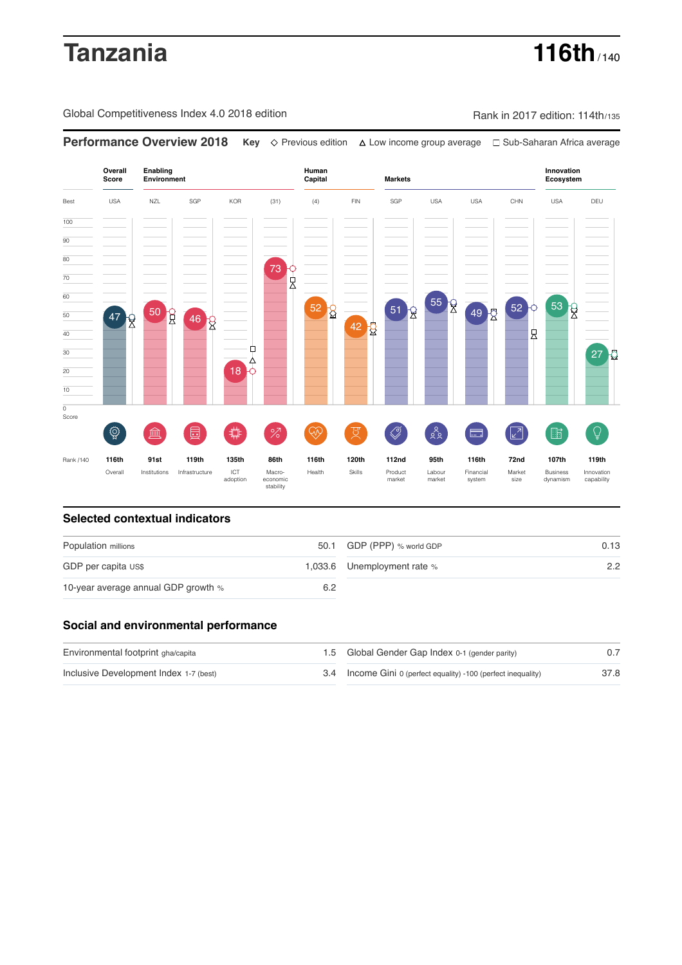# **Tanzania 116th** / 140

Global Competitiveness Index 4.0 2018 edition Rank in 2017 edition: 114th/135

**Overall Innovation Enabling Environment Human Capital Markets Score Ecosystem** Best USA NZL SGP KOR (31) (4) FIN SGP USA USA CHN USA DEU 100  $\overline{90}$ 80 73 0<br>A 70 60 55 8 52 0 53 52 8  $\begin{bmatrix} 51 \end{bmatrix}$ 49 2 50 R 50 47  $46 \overline{\text{R}}$  $42\frac{1}{8}$ 40 良 Ò 30  $27<sup>1</sup>$ ∆ 20 18 10  $\overline{\text{o}}$ Score ♦ ៍{៌្ម}  $\bigotimes$  $88$ **ledge (** 茴 %)(  $\circledcirc$  ( ਸ਼ੁ 击  $\sqrt{2}$ 脂 E Rank /140 **116th 91st 119th 135th 86th 116th 120th 112nd 95th 116th 72nd 107th 119th** Overall Institutions Infrastructure ICT<br>adoption Market adoption Macro- economic stability Health Skills Product market Labour<br>market Financial system Business dynamism Innovation capability size

**Performance Overview 2018 Key** Previous edition Low income group average Sub-Saharan Africa average

### **Selected contextual indicators**

| Population millions                 |     | 50.1 GDP (PPP) % world GDP  | 0.13 |  |
|-------------------------------------|-----|-----------------------------|------|--|
| GDP per capita US\$                 |     | 1,033.6 Unemployment rate % | 2.2  |  |
| 10-year average annual GDP growth % | 6.2 |                             |      |  |

### **Social and environmental performance**

| Environmental footprint gha/capita     | 1.5 Global Gender Gap Index 0-1 (gender parity)                |      |
|----------------------------------------|----------------------------------------------------------------|------|
| Inclusive Development Index 1-7 (best) | 3.4 Income Gini 0 (perfect equality) -100 (perfect inequality) | 37.8 |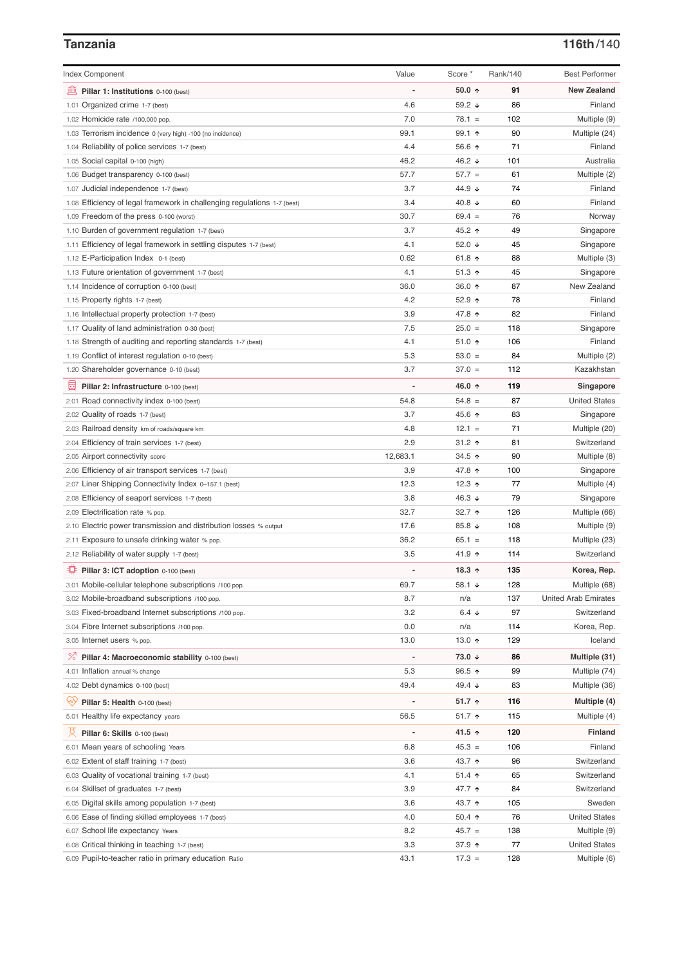# **Tanzania 116th**/140

| <b>Index Component</b>                                                   | Value    | Score *                | Rank/140 | <b>Best Performer</b>        |
|--------------------------------------------------------------------------|----------|------------------------|----------|------------------------------|
| 無<br>Pillar 1: Institutions 0-100 (best)                                 |          | $50.0 \text{ } \hat{}$ | 91       | <b>New Zealand</b>           |
| 1.01 Organized crime 1-7 (best)                                          | 4.6      | 59.2 $\sqrt{ }$        | 86       | Finland                      |
| 1.02 Homicide rate /100,000 pop.                                         | 7.0      | $78.1 =$               | 102      | Multiple (9)                 |
| 1.03 Terrorism incidence 0 (very high) -100 (no incidence)               | 99.1     | 99.1 ↑                 | 90       | Multiple (24)                |
| 1.04 Reliability of police services 1-7 (best)                           | 4.4      | 56.6 $\uparrow$        | 71       | Finland                      |
| 1.05 Social capital 0-100 (high)                                         | 46.2     | 46.2 ↓                 | 101      | Australia                    |
| 1.06 Budget transparency 0-100 (best)                                    | 57.7     | $57.7 =$               | 61       | Multiple (2)                 |
| 1.07 Judicial independence 1-7 (best)                                    | 3.7      | 44.9 ↓                 | 74       | Finland                      |
| 1.08 Efficiency of legal framework in challenging regulations 1-7 (best) | 3.4      | 40.8 $\sqrt{ }$        | 60       | Finland                      |
| 1.09 Freedom of the press 0-100 (worst)                                  | 30.7     | $69.4 =$               | 76       | Norway                       |
| 1.10 Burden of government regulation 1-7 (best)                          | 3.7      | 45.2 ↑                 | 49       | Singapore                    |
| 1.11 Efficiency of legal framework in settling disputes 1-7 (best)       | 4.1      | 52.0 $\sqrt{ }$        | 45       | Singapore                    |
| 1.12 E-Participation Index 0-1 (best)                                    | 0.62     | 61.8 $\uparrow$        | 88       | Multiple (3)                 |
| 1.13 Future orientation of government 1-7 (best)                         | 4.1      | $51.3$ ↑               | 45       | Singapore                    |
| 1.14 Incidence of corruption 0-100 (best)                                | 36.0     | 36.0 $\uparrow$        | 87       | New Zealand                  |
| 1.15 Property rights 1-7 (best)                                          | 4.2      | 52.9 $\uparrow$        | 78       | Finland                      |
| 1.16 Intellectual property protection 1-7 (best)                         | 3.9      | 47.8 ↑                 | 82       | Finland                      |
| 1.17 Quality of land administration 0-30 (best)                          | 7.5      | $25.0 =$               | 118      | Singapore                    |
| 1.18 Strength of auditing and reporting standards 1-7 (best)             | 4.1      | 51.0 $\uparrow$        | 106      | Finland                      |
| 1.19 Conflict of interest regulation 0-10 (best)                         | 5.3      | $53.0 =$               | 84       | Multiple (2)                 |
| 1.20 Shareholder governance 0-10 (best)                                  | 3.7      | $37.0 =$               | 112      | Kazakhstan                   |
| 曼                                                                        |          | 46.0 ↑                 | 119      | Singapore                    |
| Pillar 2: Infrastructure 0-100 (best)                                    | 54.8     | $54.8 =$               | 87       | <b>United States</b>         |
| 2.01 Road connectivity index 0-100 (best)                                | 3.7      | 45.6 ↑                 | 83       |                              |
| 2.02 Quality of roads 1-7 (best)                                         | 4.8      | $12.1 =$               | 71       | Singapore                    |
| 2.03 Railroad density km of roads/square km                              | 2.9      | $31.2$ ↑               | 81       | Multiple (20)<br>Switzerland |
| 2.04 Efficiency of train services 1-7 (best)                             |          |                        |          |                              |
| 2.05 Airport connectivity score                                          | 12,683.1 | 34.5 ↑                 | 90       | Multiple (8)                 |
| 2.06 Efficiency of air transport services 1-7 (best)                     | 3.9      | 47.8 ↑                 | 100      | Singapore                    |
| 2.07 Liner Shipping Connectivity Index 0-157.1 (best)                    | 12.3     | 12.3 $\uparrow$        | 77       | Multiple (4)                 |
| 2.08 Efficiency of seaport services 1-7 (best)                           | 3.8      | 46.3 $\sqrt{ }$        | 79       | Singapore                    |
| 2.09 Electrification rate % pop.                                         | 32.7     | 32.7 $\uparrow$        | 126      | Multiple (66)                |
| 2.10 Electric power transmission and distribution losses % output        | 17.6     | 85.8 ↓                 | 108      | Multiple (9)                 |
| 2.11 Exposure to unsafe drinking water % pop.                            | 36.2     | $65.1 =$               | 118      | Multiple (23)                |
| 2.12 Reliability of water supply 1-7 (best)                              | 3.5      | 41.9 ↑                 | 114      | Switzerland                  |
| Pillar 3: ICT adoption 0-100 (best)                                      |          | 18.3 $\uparrow$        | 135      | Korea, Rep.                  |
| 3.01 Mobile-cellular telephone subscriptions /100 pop.                   | 69.7     | 58.1 ↓                 | 128      | Multiple (68)                |
| 3.02 Mobile-broadband subscriptions /100 pop.                            | 8.7      | n/a                    | 137      | <b>United Arab Emirates</b>  |
| 3.03 Fixed-broadband Internet subscriptions /100 pop.                    | 3.2      | 6.4 $\downarrow$       | 97       | Switzerland                  |
| 3.04 Fibre Internet subscriptions /100 pop.                              | 0.0      | n/a                    | 114      | Korea, Rep.                  |
| 3.05 Internet users % pop.                                               | 13.0     | 13.0 $\uparrow$        | 129      | Iceland                      |
| <sup>%</sup> Pillar 4: Macroeconomic stability 0-100 (best)              |          | 73.0 ↓                 | 86       | Multiple (31)                |
| 4.01 Inflation annual % change                                           | 5.3      | $96.5$ ↑               | 99       | Multiple (74)                |
| 4.02 Debt dynamics 0-100 (best)                                          | 49.4     | 49.4 $\sqrt{ }$        | 83       | Multiple (36)                |
| Ğ,<br>Pillar 5: Health 0-100 (best)                                      |          | 51.7 $\uparrow$        | 116      | Multiple (4)                 |
| 5.01 Healthy life expectancy years                                       | 56.5     | 51.7 ↑                 | 115      | Multiple (4)                 |
| 섯<br>Pillar 6: Skills 0-100 (best)                                       |          | 41.5 ↑                 | 120      | <b>Finland</b>               |
| 6.01 Mean years of schooling Years                                       | 6.8      | $45.3 =$               | 106      | Finland                      |
| 6.02 Extent of staff training 1-7 (best)                                 | 3.6      | 43.7 ↑                 | 96       | Switzerland                  |
| 6.03 Quality of vocational training 1-7 (best)                           | 4.1      | $51.4$ ↑               | 65       | Switzerland                  |
| 6.04 Skillset of graduates 1-7 (best)                                    | 3.9      | 47.7 ተ                 | 84       | Switzerland                  |
| 6.05 Digital skills among population 1-7 (best)                          | 3.6      | 43.7 ↑                 | 105      | Sweden                       |
| 6.06 Ease of finding skilled employees 1-7 (best)                        | 4.0      | 50.4 $\uparrow$        | 76       | <b>United States</b>         |
| 6.07 School life expectancy Years                                        | 8.2      | $45.7 =$               | 138      | Multiple (9)                 |
| 6.08 Critical thinking in teaching 1-7 (best)                            | 3.3      | 37.9 个                 | 77       | <b>United States</b>         |
| 6.09 Pupil-to-teacher ratio in primary education Ratio                   | 43.1     | $17.3 =$               | 128      | Multiple (6)                 |